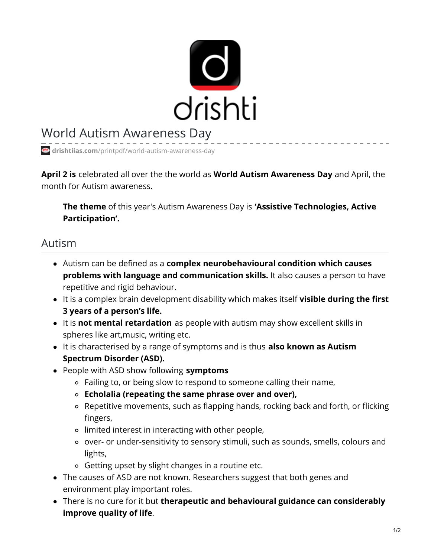

## World Autism Awareness Day

**drishtiias.com**[/printpdf/world-autism-awareness-day](https://www.drishtiias.com/printpdf/world-autism-awareness-day)

**April 2 is** celebrated all over the the world as **World Autism Awareness Day** and April, the month for Autism awareness.

**The theme** of this year's Autism Awareness Day is **'Assistive Technologies, Active Participation'.**

## Autism

- Autism can be defined as a **complex neurobehavioural condition which causes problems with language and communication skills.** It also causes a person to have repetitive and rigid behaviour.
- It is a complex brain development disability which makes itself **visible during the first 3 years of a person's life.**
- It is **not mental retardation** as people with autism may show excellent skills in spheres like art,music, writing etc.
- It is characterised by a range of symptoms and is thus **also known as Autism Spectrum Disorder (ASD).**
- People with ASD show following **symptoms**
	- Failing to, or being slow to respond to someone calling their name,
	- **Echolalia (repeating the same phrase over and over),**
	- Repetitive movements, such as flapping hands, rocking back and forth, or flicking fingers,
	- limited interest in interacting with other people,
	- o over- or under-sensitivity to sensory stimuli, such as sounds, smells, colours and lights,
	- Getting upset by slight changes in a routine etc.
- The causes of ASD are not known. Researchers suggest that both genes and environment play important roles.
- There is no cure for it but **therapeutic and behavioural guidance can considerably improve quality of life**.